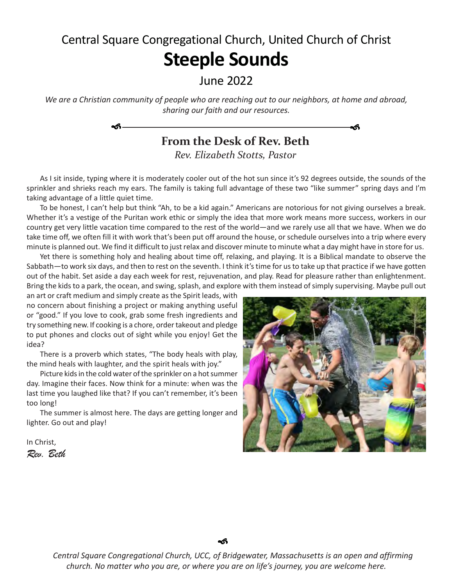## Central Square Congregational Church, United Church of Christ **Steeple Sounds**

June 2022

*We are a Christian community of people who are reaching out to our neighbors, at home and abroad, sharing our faith and our resources.*

## **From the Desk of Rev. Beth**

*Rev. Elizabeth Stotts, Pastor*

<del>არ — — — — — — — — — — — — — — არ</del>

As I sit inside, typing where it is moderately cooler out of the hot sun since it's 92 degrees outside, the sounds of the sprinkler and shrieks reach my ears. The family is taking full advantage of these two "like summer" spring days and I'm taking advantage of a little quiet time.

To be honest, I can't help but think "Ah, to be a kid again." Americans are notorious for not giving ourselves a break. Whether it's a vestige of the Puritan work ethic or simply the idea that more work means more success, workers in our country get very little vacation time compared to the rest of the world—and we rarely use all that we have. When we do take time off, we often fill it with work that's been put off around the house, or schedule ourselves into a trip where every minute is planned out. We find it difficult to just relax and discover minute to minute what a day might have in store for us.

Yet there is something holy and healing about time off, relaxing, and playing. It is a Biblical mandate to observe the Sabbath—to work six days, and then to rest on the seventh. I think it's time for us to take up that practice if we have gotten out of the habit. Set aside a day each week for rest, rejuvenation, and play. Read for pleasure rather than enlightenment. Bring the kids to a park, the ocean, and swing, splash, and explore with them instead of simply supervising. Maybe pull out

an art or craft medium and simply create as the Spirit leads, with no concern about finishing a project or making anything useful or "good." If you love to cook, grab some fresh ingredients and try something new. If cooking is a chore, order takeout and pledge to put phones and clocks out of sight while you enjoy! Get the idea?

There is a proverb which states, "The body heals with play, the mind heals with laughter, and the spirit heals with joy."

Picture kids in the cold water of the sprinkler on a hot summer day. Imagine their faces. Now think for a minute: when was the last time you laughed like that? If you can't remember, it's been too long!

The summer is almost here. The days are getting longer and lighter. Go out and play!



In Christ,

*Rev. Beth* 

**Central Square Congregational Church, UCC** • •**June 2022** *Central Square Congregational Church, UCC, of Bridgewater, Massachusetts is an open and affirming* church. No matter who you are, or where you are on life's journey, you are welcome here.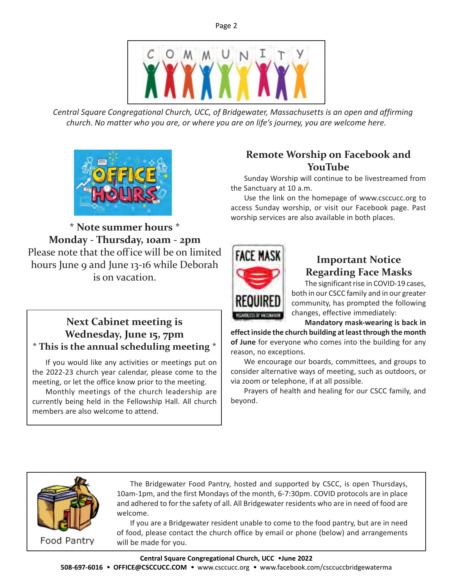

*Central Square Congregational Church, UCC, of Bridgewater, Massachusetts is an open and affirming church. No matter who you are, or where you are on life's journey, you are welcome here.*



### **\* Note summer hours \* Monday - Thursday, 10am - 2pm** Please note that the off ice will be on limited hours June 9 and June 13-16 while Deborah is on vacation.

### **Next Cabinet meeting is Wednesday, June 15, 7pm \* This is the annual scheduling meeting \***

If you would like any activities or meetings put on the 2022-23 church year calendar, please come to the meeting, or let the office know prior to the meeting.

Monthly meetings of the church leadership are currently being held in the Fellowship Hall. All church members are also welcome to attend.

### **Remote Worship on Facebook and YouTube**

Sunday Worship will continue to be livestreamed from the Sanctuary at 10 a.m.

Use the link on the homepage of www.csccucc.org to access Sunday worship, or visit our Facebook page. Past worship services are also available in both places.



### **Important Notice Regarding Face Masks**

The significant rise in COVID-19 cases, both in our CSCC family and in our greater community, has prompted the following changes, effective immediately:

**Mandatory mask-wearing is back in**

**effect inside the church building at least through the month of June** for everyone who comes into the building for any reason, no exceptions.

We encourage our boards, committees, and groups to consider alternative ways of meeting, such as outdoors, or via zoom or telephone, if at all possible.

Prayers of health and healing for our CSCC family, and beyond.



Food Pantry

The Bridgewater Food Pantry, hosted and supported by CSCC, is open Thursdays, 10am-1pm, and the first Mondays of the month, 6-7:30pm. COVID protocols are in place and adhered to for the safety of all. All Bridgewater residents who are in need of food are welcome.

If you are a Bridgewater resident unable to come to the food pantry, but are in need of food, please contact the church office by email or phone (below) and arrangements will be made for you.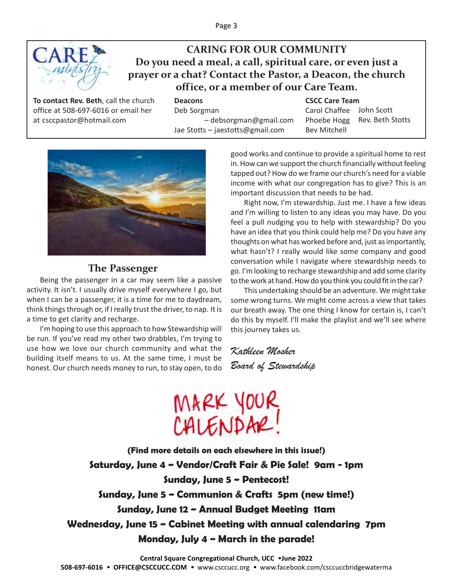

### **CARING FOR OUR COMMUNITY Do you need a meal, a call, spiritual care, or even just a prayer or a chat? Contact the Pastor, a Deacon, the church office, or a member of our Care Team.**

**To contact Rev. Beth**, call the church office at 508-697-6016 or email her at csccpastor@hotmail.com

**Deacons** Deb Sorgman – debsorgman@gmail.com Jae Stotts – jaestotts@gmail.com **CSCC Care Team** Carol Chaffee John Scott Phoebe Hogg Rev. Beth Stotts Bev Mitchell



#### **The Passenger**

Being the passenger in a car may seem like a passive activity. It isn't. I usually drive myself everywhere I go, but when I can be a passenger, it is a time for me to daydream, think things through or, if I really trust the driver, to nap. It is a time to get clarity and recharge.

I'm hoping to use this approach to how Stewardship will be run. If you've read my other two drabbles, I'm trying to use how we love our church community and what the building itself means to us. At the same time, I must be honest. Our church needs money to run, to stay open, to do good works and continue to provide a spiritual home to rest in. How can we support the church financially without feeling tapped out? How do we frame our church's need for a viable income with what our congregation has to give? This is an important discussion that needs to be had.

Right now, I'm stewardship. Just me. I have a few ideas and I'm willing to listen to any ideas you may have. Do you feel a pull nudging you to help with stewardship? Do you have an idea that you think could help me? Do you have any thoughts on what has worked before and, just as importantly, what hasn't? I really would like some company and good conversation while I navigate where stewardship needs to go. I'm looking to recharge stewardship and add some clarity to the work at hand. How do you think you could fit in the car?

This undertaking should be an adventure. We might take some wrong turns. We might come across a view that takes our breath away. The one thing I know for certain is, I can't do this by myself. I'll make the playlist and we'll see where this journey takes us.

*Kathleen Mosher Board of Stewardship*



**(Find more details on each elsewhere in this issue!) Saturday, June 4 ~ Vendor/Craft Fair & Pie Sale! 9am - 1pm Sunday, June 5 ~ Pentecost! Sunday, June 5 ~ Communion & Crafts 5pm (new time!) Sunday, June 12 ~ Annual Budget Meeting 11am Wednesday, June 15 ~ Cabinet Meeting with annual calendaring 7pm Monday, July 4 ~ March in the parade!**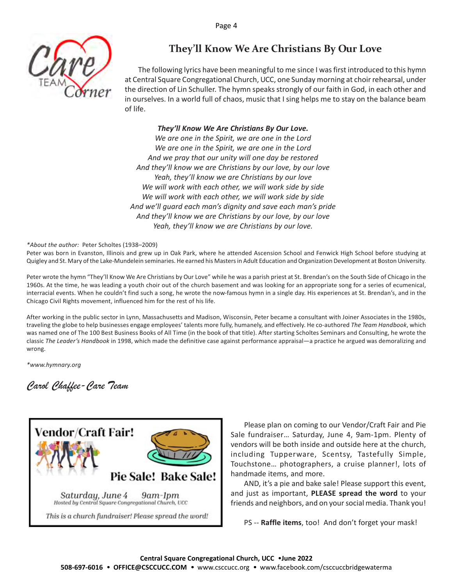

### **They'll Know We Are Christians By Our Love**

The following lyrics have been meaningful to me since I was first introduced to this hymn at Central Square Congregational Church, UCC, one Sunday morning at choir rehearsal, under the direction of Lin Schuller. The hymn speaks strongly of our faith in God, in each other and in ourselves. In a world full of chaos, music that I sing helps me to stay on the balance beam of life.

*They'll Know We Are Christians By Our Love.*

*We are one in the Spirit, we are one in the Lord We are one in the Spirit, we are one in the Lord And we pray that our unity will one day be restored And they'll know we are Christians by our love, by our love Yeah, they'll know we are Christians by our love We will work with each other, we will work side by side We will work with each other, we will work side by side And we'll guard each man's dignity and save each man's pride And they'll know we are Christians by our love, by our love Yeah, they'll know we are Christians by our love.*

*\*About the author:* Peter Scholtes (1938–2009)

Peter was born in Evanston, Illinois and grew up in Oak Park, where he attended Ascension School and Fenwick High School before studying at Quigley and St. Mary of the Lake-Mundelein seminaries. He earned his Masters in Adult Education and Organization Development at Boston University.

Peter wrote the hymn "They'll Know We Are Christians by Our Love" while he was a parish priest at St. Brendan's on the South Side of Chicago in the 1960s. At the time, he was leading a youth choir out of the church basement and was looking for an appropriate song for a series of ecumenical, interracial events. When he couldn't find such a song, he wrote the now-famous hymn in a single day. His experiences at St. Brendan's, and in the Chicago Civil Rights movement, influenced him for the rest of his life.

After working in the public sector in Lynn, Massachusetts and Madison, Wisconsin, Peter became a consultant with Joiner Associates in the 1980s, traveling the globe to help businesses engage employees' talents more fully, humanely, and effectively. He co-authored *The Team Handbook*, which was named one of The 100 Best Business Books of All Time (in the book of that title). After starting Scholtes Seminars and Consulting, he wrote the classic *The Leader's Handbook* in 1998, which made the definitive case against performance appraisal—a practice he argued was demoralizing and wrong.

*\*www.hymnary.org*

*Carol Chaffee-Care Team*



Please plan on coming to our Vendor/Craft Fair and Pie Sale fundraiser… Saturday, June 4, 9am-1pm. Plenty of vendors will be both inside and outside here at the church, including Tupperware, Scentsy, Tastefully Simple, Touchstone… photographers, a cruise planner!, lots of handmade items, and more.

AND, it's a pie and bake sale! Please support this event, and just as important, **PLEASE spread the word** to your friends and neighbors, and on your social media. Thank you!

PS -- **Raffle items**, too! And don't forget your mask!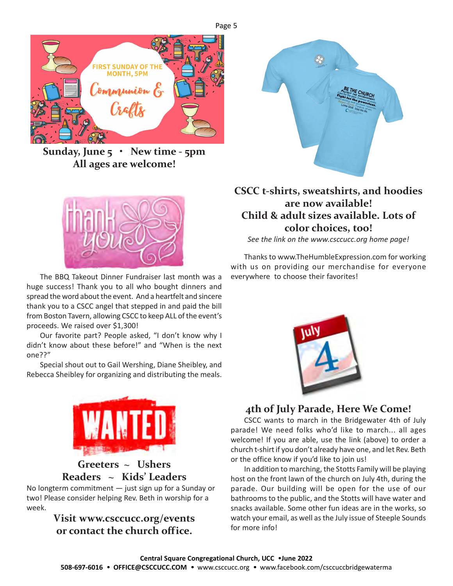

**Sunday, June 5 • New time - 5pm All ages are welcome!**



The BBQ Takeout Dinner Fundraiser last month was a huge success! Thank you to all who bought dinners and spread the word about the event. And a heartfelt and sincere thank you to a CSCC angel that stepped in and paid the bill from Boston Tavern, allowing CSCC to keep ALL of the event's proceeds. We raised over \$1,300!

Our favorite part? People asked, "I don't know why I didn't know about these before!" and "When is the next one??"

Special shout out to Gail Wershing, Diane Sheibley, and Rebecca Sheibley for organizing and distributing the meals.



**Greeters ~ Ushers Readers ~ Kids' Leaders**

No longterm commitment — just sign up for a Sunday or two! Please consider helping Rev. Beth in worship for a week.

### **Visit www.csccucc.org/events or contact the church office.**



### **CSCC t-shirts, sweatshirts, and hoodies are now available! Child & adult sizes available. Lots of color choices, too!**

*See the link on the www.csccucc.org home page!*

Thanks to www.TheHumbleExpression.com for working with us on providing our merchandise for everyone everywhere to choose their favorites!



### **4th of July Parade, Here We Come!**

CSCC wants to march in the Bridgewater 4th of July parade! We need folks who'd like to march... all ages welcome! If you are able, use the link (above) to order a church t-shirt if you don't already have one, and let Rev. Beth or the office know if you'd like to join us!

In addition to marching, the Stotts Family will be playing host on the front lawn of the church on July 4th, during the parade. Our building will be open for the use of our bathrooms to the public, and the Stotts will have water and snacks available. Some other fun ideas are in the works, so watch your email, as well as the July issue of Steeple Sounds for more info!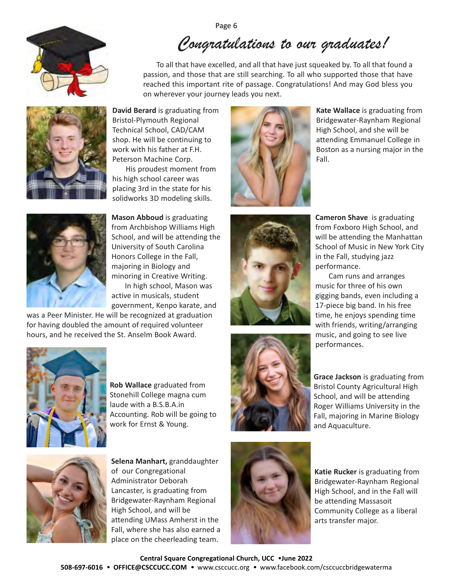

*Congratulations to our graduates!*

To all that have excelled, and all that have just squeaked by. To all that found a passion, and those that are still searching. To all who supported those that have reached this important rite of passage. Congratulations! And may God bless you on wherever your journey leads you next.



**David Berard** is graduating from Bristol-Plymouth Regional Technical School, CAD/CAM shop. He will be continuing to work with his father at F.H. Peterson Machine Corp.

His proudest moment from his high school career was placing 3rd in the state for his solidworks 3D modeling skills.



**Mason Abboud** is graduating from Archbishop Williams High School, and will be attending the University of South Carolina Honors College in the Fall, majoring in Biology and minoring in Creative Writing. In high school, Mason was

active in musicals, student government, Kenpo karate, and

was a Peer Minister. He will be recognized at graduation for having doubled the amount of required volunteer hours, and he received the St. Anselm Book Award.



**Rob Wallace** graduated from Stonehill College magna cum laude with a B.S.B.A.in Accounting. Rob will be going to work for Ernst & Young.



**Selena Manhart,** granddaughter of our Congregational Administrator Deborah Lancaster, is graduating from Bridgewater-Raynham Regional High School, and will be attending UMass Amherst in the Fall, where she has also earned a place on the cheerleading team.



**Kate Wallace** is graduating from Bridgewater-Raynham Regional High School, and she will be attending Emmanuel College in Boston as a nursing major in the Fall.





**Cameron Shave** is graduating from Foxboro High School, and will be attending the Manhattan School of Music in New York City in the Fall, studying jazz performance.

Cam runs and arranges music for three of his own gigging bands, even including a 17-piece big band. In his free time, he enjoys spending time with friends, writing/arranging music, and going to see live performances.

**Grace Jackson** is graduating from Bristol County Agricultural High School, and will be attending Roger Williams University in the Fall, majoring in Marine Biology and Aquaculture.



**Katie Rucker** is graduating from Bridgewater-Raynham Regional High School, and in the Fall will be attending Massasoit Community College as a liberal arts transfer major.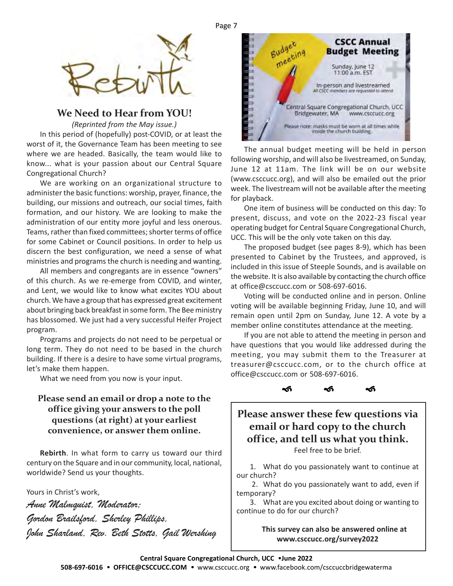



### **We Need to Hear from YOU!**

*(Reprinted from the May issue.)*

In this period of (hopefully) post-COVID, or at least the worst of it, the Governance Team has been meeting to see where we are headed. Basically, the team would like to know... what is your passion about our Central Square Congregational Church?

We are working on an organizational structure to administer the basic functions: worship, prayer, finance, the building, our missions and outreach, our social times, faith formation, and our history. We are looking to make the administration of our entity more joyful and less onerous. Teams, rather than fixed committees; shorter terms of office for some Cabinet or Council positions. In order to help us discern the best configuration, we need a sense of what ministries and programs the church is needing and wanting.

All members and congregants are in essence "owners" of this church. As we re-emerge from COVID, and winter, and Lent, we would like to know what excites YOU about church. We have a group that has expressed great excitement about bringing back breakfast in some form. The Bee ministry has blossomed. We just had a very successful Heifer Project program.

Programs and projects do not need to be perpetual or long term. They do not need to be based in the church building. If there is a desire to have some virtual programs, let's make them happen.

What we need from you now is your input.

#### **Please send an email or drop a note to the office giving your answers to the poll questions (at right) at your earliest convenience, or answer them online.**

**Rebirth**. In what form to carry us toward our third century on the Square and in our community, local, national, worldwide? Send us your thoughts.

Yours in Christ's work, *Anne Malmquist, Moderator; Gordon Brailsford, Sherley Phillips, John Sharland, Rev. Beth Stotts, Gail Wershing*



The annual budget meeting will be held in person following worship, and will also be livestreamed, on Sunday, June 12 at 11am. The link will be on our website (www.csccucc.org), and will also be emailed out the prior week. The livestream will not be available after the meeting for playback.

One item of business will be conducted on this day: To present, discuss, and vote on the 2022-23 fiscal year operating budget for Central Square Congregational Church, UCC. This will be the only vote taken on this day.

The proposed budget (see pages 8-9), which has been presented to Cabinet by the Trustees, and approved, is included in this issue of Steeple Sounds, and is available on the website. It is also available by contacting the church office at office@csccucc.com or 508-697-6016.

Voting will be conducted online and in person. Online voting will be available beginning Friday, June 10, and will remain open until 2pm on Sunday, June 12. A vote by a member online constitutes attendance at the meeting.

If you are not able to attend the meeting in person and have questions that you would like addressed during the meeting, you may submit them to the Treasurer at treasurer@csccucc.com, or to the church office at office@csccucc.com or 508-697-6016.



### **Please answer these few questions via email or hard copy to the church office, and tell us what you think.**

Feel free to be brief.

1. What do you passionately want to continue at our church?

2. What do you passionately want to add, even if temporary?

3. What are you excited about doing or wanting to continue to do for our church?

> **This survey can also be answered online at www.csccucc.org/survey2022**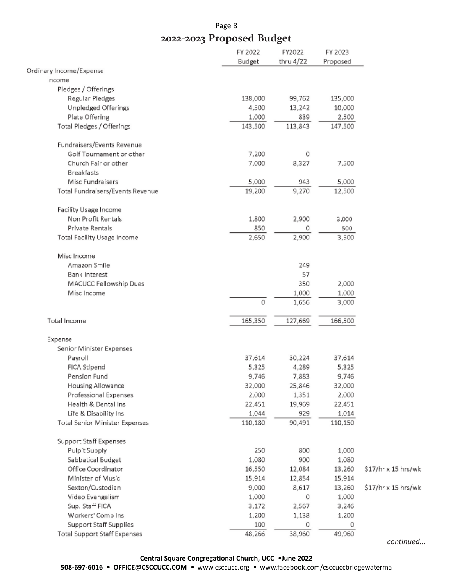### Page 8 **2022-2023 Proposed Budget**

|                                       | FY 2022 | FY2022    | FY 2023  |                     |
|---------------------------------------|---------|-----------|----------|---------------------|
|                                       | Budget  | thru 4/22 | Proposed |                     |
| Ordinary Income/Expense               |         |           |          |                     |
| Income                                |         |           |          |                     |
| Pledges / Offerings                   |         |           |          |                     |
| Regular Pledges                       | 138,000 | 99,762    | 135,000  |                     |
| Unpledged Offerings                   | 4,500   | 13,242    | 10,000   |                     |
| Plate Offering                        | 1,000   | 839       | 2,500    |                     |
| Total Pledges / Offerings             | 143,500 | 113,843   | 147,500  |                     |
| Fundraisers/Events Revenue            |         |           |          |                     |
| Golf Tournament or other              | 7,200   | 0         |          |                     |
| Church Fair or other                  | 7,000   | 8,327     | 7,500    |                     |
| <b>Breakfasts</b>                     |         |           |          |                     |
| Misc Fundraisers                      | 5,000   | 943       | 5,000    |                     |
| Total Fundraisers/Events Revenue      | 19,200  | 9,270     | 12,500   |                     |
| Facility Usage Income                 |         |           |          |                     |
| Non Profit Rentals                    | 1,800   | 2,900     | 3,000    |                     |
| Private Rentals                       | 850     | 0         | 500      |                     |
| Total Facility Usage Income           | 2,650   | 2,900     | 3,500    |                     |
| Misc Income                           |         |           |          |                     |
| Amazon Smile                          |         | 249       |          |                     |
| Bank Interest                         |         | 57        |          |                     |
| MACUCC Fellowship Dues                |         | 350       | 2,000    |                     |
| Misc Income                           |         | 1,000     | 1,000    |                     |
|                                       | 0       | 1,656     | 3,000    |                     |
| Total Income                          | 165,350 | 127,669   | 166,500  |                     |
| Expense                               |         |           |          |                     |
| Senior Minister Expenses              |         |           |          |                     |
| Payroll                               | 37,614  | 30,224    | 37,614   |                     |
| FICA Stipend                          | 5,325   | 4,289     | 5,325    |                     |
| Pension Fund                          | 9,746   | 7,883     | 9,746    |                     |
| Housing Allowance                     | 32,000  | 25,846    | 32,000   |                     |
| Professional Expenses                 | 2,000   | 1,351     | 2,000    |                     |
| Health & Dental Ins                   | 22,451  | 19,969    | 22,451   |                     |
| Life & Disability Ins                 | 1,044   | 929       | 1,014    |                     |
| <b>Total Senior Minister Expenses</b> | 110,180 | 90,491    | 110,150  |                     |
| <b>Support Staff Expenses</b>         |         |           |          |                     |
| Pulpit Supply                         | 250     | 800       | 1,000    |                     |
| Sabbatical Budget                     | 1,080   | 900       | 1,080    |                     |
| Office Coordinator                    | 16,550  | 12,084    | 13,260   | \$17/hr x 15 hrs/wk |
| Minister of Music                     | 15,914  | 12,854    | 15,914   |                     |
| Sexton/Custodian                      | 9,000   | 8,617     | 13,260   | \$17/hr x 15 hrs/wk |
| Video Evangelism                      | 1,000   | О         | 1,000    |                     |
| Sup. Staff FICA                       | 3,172   | 2,567     | 3,246    |                     |
| Workers' Comp Ins                     | 1,200   | 1,138     | 1,200    |                     |
| <b>Support Staff Supplies</b>         | 100     | 0         | 0        |                     |
| <b>Total Support Staff Expenses</b>   | 48,266  | 38,960    | 49,960   |                     |
|                                       |         |           |          |                     |

*continued...*

**Central Square Congregational Church, UCC** • **June 2022**

**508-697-6016** • **OFFICE@CSCCUCC.COM** • www.csccucc.org• www.facebook.com/csccuccbridgewaterma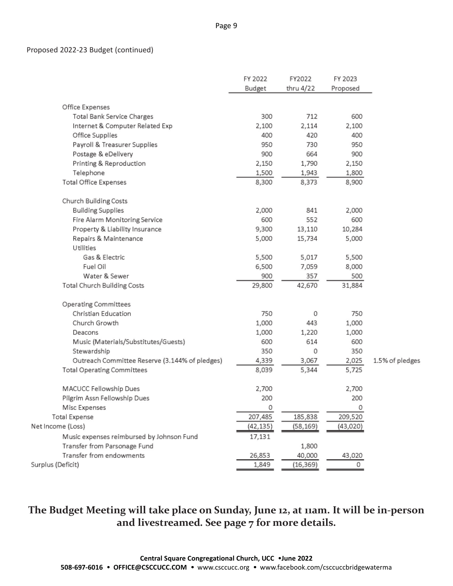#### Proposed 2022-23 Budget (continued)

|                                                | FY 2022   | FY2022    | FY 2023   |                 |
|------------------------------------------------|-----------|-----------|-----------|-----------------|
|                                                | Budget    | thru 4/22 | Proposed  |                 |
| Office Expenses                                |           |           |           |                 |
| Total Bank Service Charges                     | 300       | 712       | 600       |                 |
| Internet & Computer Related Exp                | 2,100     | 2,114     | 2,100     |                 |
| Office Supplies                                | 400       | 420       | 400       |                 |
| Payroll & Treasurer Supplies                   | 950       | 730       | 950       |                 |
| Postage & eDelivery                            | 900       | 664       | 900       |                 |
| Printing & Reproduction                        | 2,150     | 1,790     | 2,150     |                 |
| Telephone                                      | 1,500     | 1,943     | 1,800     |                 |
| <b>Total Office Expenses</b>                   | 8,300     | 8,373     | 8,900     |                 |
| Church Building Costs                          |           |           |           |                 |
| <b>Building Supplies</b>                       | 2,000     | 841       | 2,000     |                 |
| Fire Alarm Monitoring Service                  | 600       | 552       | 600       |                 |
| Property & Liability Insurance                 | 9,300     | 13,110    | 10,284    |                 |
| Repairs & Maintenance                          | 5,000     | 15,734    | 5,000     |                 |
| Utilities                                      |           |           |           |                 |
| Gas & Electric                                 | 5,500     | 5,017     | 5,500     |                 |
| Fuel Oil                                       | 6,500     | 7,059     | 8,000     |                 |
| Water & Sewer                                  | 900       | 357       | 500       |                 |
| Total Church Building Costs                    | 29,800    | 42,670    | 31,884    |                 |
| Operating Committees                           |           |           |           |                 |
| Christian Education                            | 750       | 0         | 750       |                 |
| Church Growth                                  | 1,000     | 443       | 1,000     |                 |
| Deacons                                        | 1,000     | 1,220     | 1,000     |                 |
| Music (Materials/Substitutes/Guests)           | 600       | 614       | 600       |                 |
| Stewardship                                    | 350       | 0         | 350       |                 |
| Outreach Committee Reserve (3.144% of pledges) | 4,339     | 3,067     | 2,025     | 1.5% of pledges |
| <b>Total Operating Committees</b>              | 8,039     | 5,344     | 5,725     |                 |
| MACUCC Fellowship Dues                         | 2,700     |           | 2,700     |                 |
| Pilgrim Assn Fellowship Dues                   | 200       |           | 200       |                 |
| Misc Expenses                                  | 0         |           | 0         |                 |
| <b>Total Expense</b>                           | 207,485   | 185,838   | 209,520   |                 |
| Net Income (Loss)                              | (42, 135) | (58, 169) | (43, 020) |                 |
| Music expenses reimbursed by Johnson Fund      | 17,131    |           |           |                 |
| Transfer from Parsonage Fund                   |           | 1,800     |           |                 |
| Transfer from endowments                       | 26,853    | 40,000    | 43,020    |                 |
| Surplus (Deficit)                              | 1,849     | (16, 369) | 0         |                 |

### **The Budget Meeting will take place on Sunday, June 12, at 11am. It will be in-person and livestreamed. See page 7 for more details.**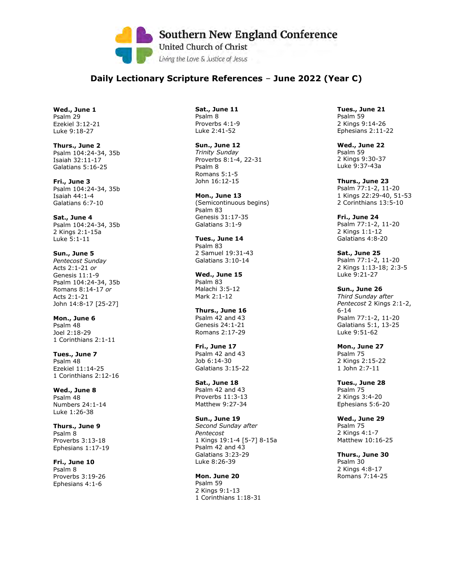Southern New England Conference United Church of Christ Living the Love & Justice of Jesus

#### Daily Lectionary Scripture References – June 2022 (Year C)

Wed., June 1 Psalm 29 Ezekiel 3:12-21 Luke 9:18-27

Thurs., June 2 Psalm 104:24-34, 35b Isaiah 32:11-17 Galatians 5:16-25

Fri., June 3 Psalm 104:24-34, 35b Isaiah 44:1-4 Galatians 6:7-10

Sat., June 4 Psalm 104:24-34, 35b 2 Kings 2:1-15a Luke 5:1-11

Sun., June 5 Pentecost Sunday Acts 2:1-21 or Genesis 11:1-9 Psalm 104:24-34, 35b Romans 8:14-17 or Acts 2:1-21 John 14:8-17 [25-27]

Mon., June 6 Psalm 48 Joel 2:18-29 1 Corinthians 2:1-11

Tues., June 7 Psalm 48 Ezekiel 11:14-25 1 Corinthians 2:12-16

Wed., June 8 Psalm 48 Numbers 24:1-14 Luke 1:26-38

Thurs., June 9 Psalm 8 Proverbs 3:13-18 Ephesians 1:17-19

Fri., June 10 Psalm 8 Proverbs 3:19-26 Ephesians 4:1-6

Sat., June 11 Psalm 8 Proverbs 4:1-9 Luke 2:41-52

Sun., June 12 Trinity Sunday Proverbs 8:1-4, 22-31 Psalm 8 Romans 5:1-5 John 16:12-15

Mon., June 13 (Semicontinuous begins) Psalm 83 Genesis 31:17-35 Galatians 3:1-9

Tues., June 14 Psalm 83 2 Samuel 19:31-43 Galatians 3:10-14

Wed., June 15 Psalm 83 Malachi 3:5-12 Mark 2:1-12

Thurs., June 16 Psalm 42 and 43 Genesis 24:1-21 Romans 2:17-29

Fri., June 17 Psalm 42 and 43 Job 6:14-30 Galatians 3:15-22

Sat., June 18 Psalm 42 and 43 Proverbs 11:3-13 Matthew 9:27-34

Sun., June 19 Second Sunday after Pentecost 1 Kings 19:1-4 [5-7] 8-15a Psalm 42 and 43 Galatians 3:23-29 Luke 8:26-39

Mon. June 20 Psalm 59 2 Kings 9:1-13 1 Corinthians 1:18-31 **Tues., June 21**  Psalm 59 2 Kings 9:14-26 Ephesians 2:11-22

**Wed., June 22**  Psalm 59 2 Kings 9:30-37 Luke 9:37-43a

**Thurs., June 23**  Psalm 77:1-2, 11-20 1 Kings 22:29-40, 51-53 2 Corinthians 13:5-10

**Fri., June 24**  Psalm 77:1-2, 11-20 2 Kings 1:1-12 Galatians 4:8-20

**Sat., June 25** Psalm 77:1-2, 11-20 2 Kings 1:13-18; 2:3-5 Luke 9:21-27

**Sun., June 26**  *Third Sunday after Pentecost* 2 Kings 2:1-2, 6-14 Psalm 77:1-2, 11-20 Galatians 5:1, 13-25 Luke 9:51-62

**Mon., June 27**  Psalm 75 2 Kings 2:15-22 1 John 2:7-11

**Tues., June 28**  Psalm 75 2 Kings 3:4-20 Ephesians 5:6-20

**Wed., June 29**  Psalm 75 2 Kings 4:1-7 Matthew 10:16-25

**Thurs., June 30**  Psalm 30 2 Kings 4:8-17 Romans 7:14-25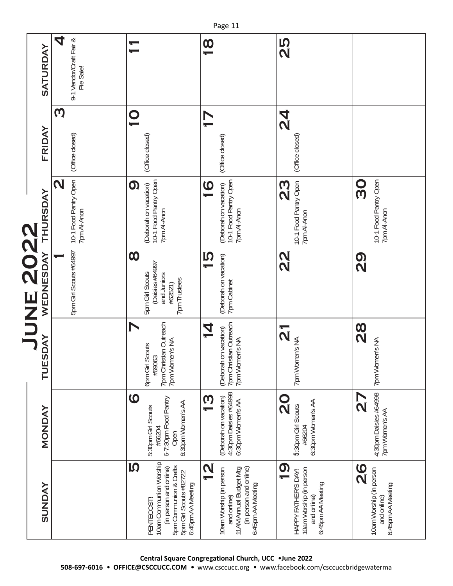|           | SATURDAY      | 4                     | 9-1 Vendor/Craft Fair &              | $\overline{\phantom{a}}$ |                                                                                                                                         | $\frac{00}{1}$          |                                                                                                                 | <b>S<br/>20</b>         |                                                                                    |             |                                                             |
|-----------|---------------|-----------------------|--------------------------------------|--------------------------|-----------------------------------------------------------------------------------------------------------------------------------------|-------------------------|-----------------------------------------------------------------------------------------------------------------|-------------------------|------------------------------------------------------------------------------------|-------------|-------------------------------------------------------------|
|           |               |                       | Pie Sale!                            |                          |                                                                                                                                         |                         |                                                                                                                 |                         |                                                                                    |             |                                                             |
|           | FRIDAY        | $\boldsymbol{\omega}$ | (Office closed)                      | $\overline{\mathbf{C}}$  | (Office closed)                                                                                                                         |                         | (Office closed)                                                                                                 | <b>Z</b>                | (Office closed)                                                                    |             |                                                             |
|           | THURSDAY      | ${\mathsf N}$         | 10-1 Food Pantry Open<br>7pm Al-Anon | $\mathbf 0$              | 10-1 Food Pantry Open<br>(Deborah on vacation)<br>7pm Al-Anon                                                                           | 16                      | (Deborah on vacation)<br>10-1 Food Pantry Open<br>7pm Al-Anon                                                   | 2<br>20                 | 10-1 Food Pantry Open<br>7pm Al-Anon                                               | <u>ල</u>    | 10-1 Food Pantry Open<br>7pm Al-Anon                        |
| JUNE 2022 | WEDNESDAY     |                       | 5pm Girl Scouts #64997               | $\boldsymbol{\omega}$    | (Daisies #64997<br>5pm Girl Scouts<br>and Juniors<br>7pm Trustees<br>#62521)                                                            | <u>מן</u>               | (Deborah on vacation)<br>7pm Cabinet                                                                            | 2<br>22                 |                                                                                    | O<br>N      |                                                             |
|           | TUESDAY       |                       |                                      | $\blacktriangleright$    | 7pm Christian Outreach<br>7pm Women's NA<br>Scouts<br>#69063<br>6pm Girl S                                                              | <b>Z</b>                | 7pm Christian Outreach<br>(Deborah on vacation)<br>7pm Women's NA                                               | $\mathbf{\bar{N}}$      | 7pm Women's NA                                                                     | 8<br>2<br>2 | 7pm Women's NA                                              |
|           | <b>MONDAY</b> |                       |                                      | $\boldsymbol{\omega}$    | 6-7:30pm Food Pantry<br>6:30pm Women's AA<br>5:30pm Girl Scouts<br>#66204<br>Open                                                       | <u>ო</u>                | 4:30pm Daisies #64998<br>(Deborah on vacation)<br>6:30pm Women's AA                                             | <b>O</b><br>N           | 6:30pm Women's AA<br>5:30pm Girl Scouts<br>#66204                                  | <b>N</b>    | 4:30pm Daisies #64998<br>7pm Women's AA                     |
|           | <b>SUNDAY</b> |                       |                                      | IΩ                       | 10am Communion Worship<br>5pm Communion & Crafts<br>(in person and online)<br>5pm Girl Scouts #82722<br>6:45pm AA Meeting<br>PENTECOST! | $\overline{\mathbf{v}}$ | (in person and online)<br>and online)<br>11AM Annual Budget Mtg<br>10am Worship (in person<br>6:45pm AA Meeting | $\overline{\mathbf{o}}$ | 10am Worship (in person<br>HAPPY FATHER'S DAY!<br>6:45pm AA Meeting<br>and online) | <b>SO</b>   | 10am Worship (in person<br>6:45pm AA Meeting<br>and online) |

**Central Square Congregational Church, UCC** • **June 2022 508-697-6016** • **OFFICE@CSCCUCC.COM** • www.csccucc.org• www.facebook.com/csccuccbridgewaterma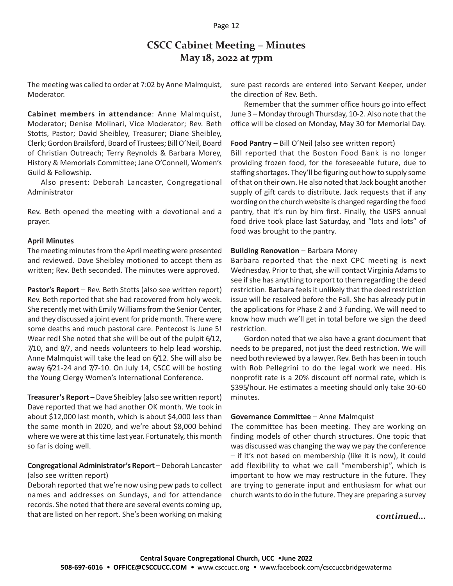### **CSCC Cabinet Meeting – Minutes May 18, 2022 at 7pm**

The meeting was called to order at 7:02 by Anne Malmquist, Moderator.

**Cabinet members in attendance**: Anne Malmquist, Moderator; Denise Molinari, Vice Moderator; Rev. Beth Stotts, Pastor; David Sheibley, Treasurer; Diane Sheibley, Clerk; Gordon Brailsford, Board of Trustees; Bill O'Neil, Board of Christian Outreach; Terry Reynolds & Barbara Morey, History & Memorials Committee; Jane O'Connell, Women's Guild & Fellowship.

Also present: Deborah Lancaster, Congregational Administrator

Rev. Beth opened the meeting with a devotional and a prayer.

#### **April Minutes**

The meeting minutes from the April meeting were presented and reviewed. Dave Sheibley motioned to accept them as written; Rev. Beth seconded. The minutes were approved.

**Pastor's Report** – Rev. Beth Stotts (also see written report) Rev. Beth reported that she had recovered from holy week. She recently met with Emily Williams from the Senior Center, and they discussed a joint event for pride month. There were some deaths and much pastoral care. Pentecost is June 5! Wear red! She noted that she will be out of the pulpit 6/12, 7/10, and 8/7, and needs volunteers to help lead worship. Anne Malmquist will take the lead on 6/12. She will also be away 6/21-24 and 7/7-10. On July 14, CSCC will be hosting the Young Clergy Women's International Conference.

**Treasurer's Report** – Dave Sheibley (also see written report) Dave reported that we had another OK month. We took in about \$12,000 last month, which is about \$4,000 less than the same month in 2020, and we're about \$8,000 behind where we were at this time last year. Fortunately, this month so far is doing well.

#### **Congregational Administrator's Report** – Deborah Lancaster (also see written report)

Deborah reported that we're now using pew pads to collect names and addresses on Sundays, and for attendance records. She noted that there are several events coming up, that are listed on her report. She's been working on making

sure past records are entered into Servant Keeper, under the direction of Rev. Beth.

Remember that the summer office hours go into effect June 3 – Monday through Thursday, 10-2. Also note that the office will be closed on Monday, May 30 for Memorial Day.

#### **Food Pantry** – Bill O'Neil (also see written report)

Bill reported that the Boston Food Bank is no longer providing frozen food, for the foreseeable future, due to staffing shortages. They'll be figuring out how to supply some of that on their own. He also noted that Jack bought another supply of gift cards to distribute. Jack requests that if any wording on the church website is changed regarding the food pantry, that it's run by him first. Finally, the USPS annual food drive took place last Saturday, and "lots and lots" of food was brought to the pantry.

#### **Building Renovation** – Barbara Morey

Barbara reported that the next CPC meeting is next Wednesday. Prior to that, she will contact Virginia Adams to see if she has anything to report to them regarding the deed restriction. Barbara feels it unlikely that the deed restriction issue will be resolved before the Fall. She has already put in the applications for Phase 2 and 3 funding. We will need to know how much we'll get in total before we sign the deed restriction.

Gordon noted that we also have a grant document that needs to be prepared, not just the deed restriction. We will need both reviewed by a lawyer. Rev. Beth has been in touch with Rob Pellegrini to do the legal work we need. His nonprofit rate is a 20% discount off normal rate, which is \$395/hour. He estimates a meeting should only take 30-60 minutes.

#### **Governance Committee** – Anne Malmquist

The committee has been meeting. They are working on finding models of other church structures. One topic that was discussed was changing the way we pay the conference – if it's not based on membership (like it is now), it could add flexibility to what we call "membership", which is important to how we may restructure in the future. They are trying to generate input and enthusiasm for what our church wants to do in the future. They are preparing a survey

#### *continued...*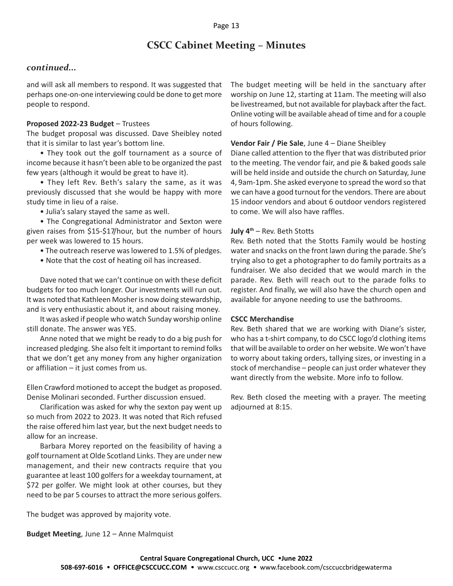### **CSCC Cabinet Meeting – Minutes**

#### *continued...*

and will ask all members to respond. It was suggested that perhaps one-on-one interviewing could be done to get more people to respond.

#### **Proposed 2022-23 Budget** – Trustees

The budget proposal was discussed. Dave Sheibley noted that it is similar to last year's bottom line.

• They took out the golf tournament as a source of income because it hasn't been able to be organized the past few years (although it would be great to have it).

• They left Rev. Beth's salary the same, as it was previously discussed that she would be happy with more study time in lieu of a raise.

• Julia's salary stayed the same as well.

• The Congregational Administrator and Sexton were given raises from \$15-\$17/hour, but the number of hours per week was lowered to 15 hours.

- The outreach reserve was lowered to 1.5% of pledges.
- Note that the cost of heating oil has increased.

Dave noted that we can't continue on with these deficit budgets for too much longer. Our investments will run out. It was noted that Kathleen Mosher is now doing stewardship, and is very enthusiastic about it, and about raising money.

It was asked if people who watch Sunday worship online still donate. The answer was YES.

Anne noted that we might be ready to do a big push for increased pledging. She also felt it important to remind folks that we don't get any money from any higher organization or affiliation – it just comes from us.

Ellen Crawford motioned to accept the budget as proposed. Denise Molinari seconded. Further discussion ensued.

Clarification was asked for why the sexton pay went up so much from 2022 to 2023. It was noted that Rich refused the raise offered him last year, but the next budget needs to allow for an increase.

Barbara Morey reported on the feasibility of having a golf tournament at Olde Scotland Links. They are under new management, and their new contracts require that you guarantee at least 100 golfers for a weekday tournament, at \$72 per golfer. We might look at other courses, but they need to be par 5 courses to attract the more serious golfers.

The budget was approved by majority vote.

**Budget Meeting**, June 12 – Anne Malmquist

The budget meeting will be held in the sanctuary after worship on June 12, starting at 11am. The meeting will also be livestreamed, but not available for playback after the fact. Online voting will be available ahead of time and for a couple of hours following.

#### **Vendor Fair / Pie Sale**, June 4 – Diane Sheibley

Diane called attention to the flyer that was distributed prior to the meeting. The vendor fair, and pie & baked goods sale will be held inside and outside the church on Saturday, June 4, 9am-1pm. She asked everyone to spread the word so that we can have a good turnout for the vendors. There are about 15 indoor vendors and about 6 outdoor vendors registered to come. We will also have raffles.

#### **July 4th** – Rev. Beth Stotts

Rev. Beth noted that the Stotts Family would be hosting water and snacks on the front lawn during the parade. She's trying also to get a photographer to do family portraits as a fundraiser. We also decided that we would march in the parade. Rev. Beth will reach out to the parade folks to register. And finally, we will also have the church open and available for anyone needing to use the bathrooms.

#### **CSCC Merchandise**

Rev. Beth shared that we are working with Diane's sister, who has a t-shirt company, to do CSCC logo'd clothing items that will be available to order on her website. We won't have to worry about taking orders, tallying sizes, or investing in a stock of merchandise – people can just order whatever they want directly from the website. More info to follow.

Rev. Beth closed the meeting with a prayer. The meeting adjourned at 8:15.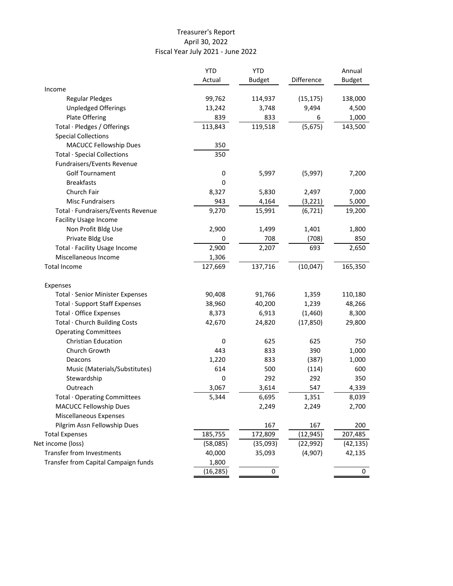#### Treasurer's Report April 30, 2022 Fiscal Year July 2021 - June 2022

|                                      | <b>YTD</b> | <b>YTD</b>    |            | Annual        |
|--------------------------------------|------------|---------------|------------|---------------|
|                                      | Actual     | <b>Budget</b> | Difference | <b>Budget</b> |
| Income                               |            |               |            |               |
| <b>Regular Pledges</b>               | 99,762     | 114,937       | (15, 175)  | 138,000       |
| <b>Unpledged Offerings</b>           | 13,242     | 3,748         | 9,494      | 4,500         |
| Plate Offering                       | 839        | 833           | 6          | 1,000         |
| Total · Pledges / Offerings          | 113,843    | 119,518       | (5, 675)   | 143,500       |
| <b>Special Collections</b>           |            |               |            |               |
| <b>MACUCC Fellowship Dues</b>        | 350        |               |            |               |
| Total · Special Collections          | 350        |               |            |               |
| Fundraisers/Events Revenue           |            |               |            |               |
| <b>Golf Tournament</b>               | 0          | 5,997         | (5,997)    | 7,200         |
| <b>Breakfasts</b>                    | 0          |               |            |               |
| Church Fair                          | 8,327      | 5,830         | 2,497      | 7,000         |
| <b>Misc Fundraisers</b>              | 943        | 4,164         | (3, 221)   | 5,000         |
| Total · Fundraisers/Events Revenue   | 9,270      | 15,991        | (6, 721)   | 19,200        |
| <b>Facility Usage Income</b>         |            |               |            |               |
| Non Profit Bldg Use                  | 2,900      | 1,499         | 1,401      | 1,800         |
| Private Bldg Use                     | 0          | 708           | (708)      | 850           |
| Total · Facility Usage Income        | 2,900      | 2,207         | 693        | 2,650         |
| Miscellaneous Income                 | 1,306      |               |            |               |
| <b>Total Income</b>                  | 127,669    | 137,716       | (10, 047)  | 165,350       |
| Expenses                             |            |               |            |               |
| Total · Senior Minister Expenses     | 90,408     | 91,766        | 1,359      | 110,180       |
| Total · Support Staff Expenses       | 38,960     | 40,200        | 1,239      | 48,266        |
| Total · Office Expenses              | 8,373      | 6,913         | (1,460)    | 8,300         |
| Total · Church Building Costs        | 42,670     | 24,820        | (17, 850)  | 29,800        |
| <b>Operating Committees</b>          |            |               |            |               |
| <b>Christian Education</b>           | 0          | 625           | 625        | 750           |
| Church Growth                        | 443        | 833           | 390        | 1,000         |
| Deacons                              | 1,220      | 833           | (387)      | 1,000         |
| Music (Materials/Substitutes)        | 614        | 500           | (114)      | 600           |
| Stewardship                          | 0          | 292           | 292        | 350           |
| Outreach                             | 3,067      | 3,614         | 547        | 4,339         |
| Total · Operating Committees         | 5,344      | 6,695         | 1,351      | 8,039         |
| <b>MACUCC Fellowship Dues</b>        |            | 2,249         | 2,249      | 2,700         |
| <b>Miscellaneous Expenses</b>        |            |               |            |               |
| Pilgrim Assn Fellowship Dues         |            | 167           | 167        | 200           |
| <b>Total Expenses</b>                | 185,755    | 172,809       | (12, 945)  | 207,485       |
| Net income (loss)                    | (58,085)   | (35,093)      | (22, 992)  | (42, 135)     |
| Transfer from Investments            | 40,000     | 35,093        | (4,907)    | 42,135        |
| Transfer from Capital Campaign funds | 1,800      |               |            |               |
|                                      | (16, 285)  | 0             |            | 0             |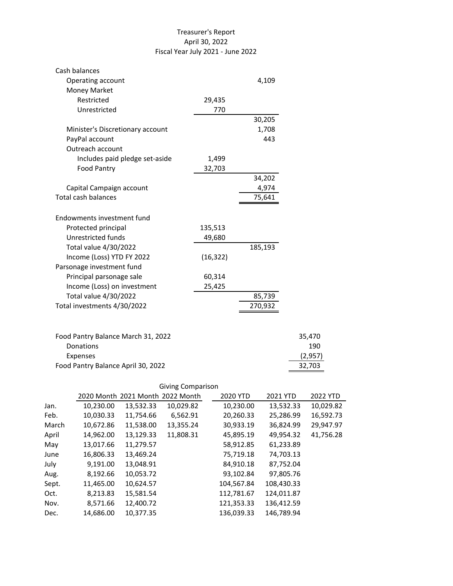#### Treasurer's Report April 30, 2022 Fiscal Year July 2021 - June 2022

| Cash balances                       |                                      |           |                   |
|-------------------------------------|--------------------------------------|-----------|-------------------|
| Operating account                   |                                      | 4,109     |                   |
| Money Market                        |                                      |           |                   |
| Restricted                          | 29,435                               |           |                   |
| Unrestricted                        | 770                                  |           |                   |
|                                     |                                      | 30,205    |                   |
| Minister's Discretionary account    |                                      | 1,708     |                   |
| PayPal account                      |                                      | 443       |                   |
| Outreach account                    |                                      |           |                   |
| Includes paid pledge set-aside      | 1,499                                |           |                   |
| <b>Food Pantry</b>                  | 32,703                               |           |                   |
|                                     |                                      | 34,202    |                   |
| Capital Campaign account            |                                      | 4,974     |                   |
| <b>Total cash balances</b>          |                                      | 75,641    |                   |
|                                     |                                      |           |                   |
| Endowments investment fund          |                                      |           |                   |
| Protected principal                 | 135,513                              |           |                   |
| Unrestricted funds                  | 49,680                               |           |                   |
| Total value 4/30/2022               |                                      | 185,193   |                   |
| Income (Loss) YTD FY 2022           | (16, 322)                            |           |                   |
| Parsonage investment fund           |                                      |           |                   |
| Principal parsonage sale            | 60,314                               |           |                   |
| Income (Loss) on investment         | 25,425                               |           |                   |
| Total value 4/30/2022               |                                      | 85,739    |                   |
| Total investments 4/30/2022         |                                      | 270,932   |                   |
|                                     |                                      |           |                   |
|                                     |                                      |           |                   |
| Food Pantry Balance March 31, 2022  |                                      |           | 35,470            |
| Donations                           |                                      |           | 190               |
| Expenses                            |                                      |           | (2,957)           |
| Food Pantry Balance April 30, 2022  |                                      |           | 32,703            |
|                                     |                                      |           |                   |
|                                     |                                      |           |                   |
| 2020 Month 2021 Month 2022 Month    | <b>Giving Comparison</b><br>2020 YTD |           | 2021 YTD<br>202   |
| 10,230.00<br>13,532.33<br>10,029.82 |                                      | 10,230.00 | 10,0<br>13,532.33 |
| n.                                  |                                      |           |                   |

|       |           |           | 2020 Month 2021 Month 2022 Month | 2020 YTD   | 2021 YTD   | 2022 YTD  |
|-------|-----------|-----------|----------------------------------|------------|------------|-----------|
| Jan.  | 10,230.00 | 13,532.33 | 10,029.82                        | 10,230.00  | 13,532.33  | 10,029.82 |
| Feb.  | 10,030.33 | 11,754.66 | 6,562.91                         | 20,260.33  | 25,286.99  | 16,592.73 |
| March | 10,672.86 | 11,538.00 | 13,355.24                        | 30,933.19  | 36,824.99  | 29,947.97 |
| April | 14,962.00 | 13,129.33 | 11,808.31                        | 45,895.19  | 49,954.32  | 41,756.28 |
| May   | 13,017.66 | 11,279.57 |                                  | 58,912.85  | 61,233.89  |           |
| June  | 16,806.33 | 13,469.24 |                                  | 75,719.18  | 74,703.13  |           |
| July  | 9,191.00  | 13,048.91 |                                  | 84,910.18  | 87,752.04  |           |
| Aug.  | 8,192.66  | 10,053.72 |                                  | 93,102.84  | 97,805.76  |           |
| Sept. | 11,465.00 | 10,624.57 |                                  | 104,567.84 | 108,430.33 |           |
| Oct.  | 8,213.83  | 15,581.54 |                                  | 112,781.67 | 124,011.87 |           |
| Nov.  | 8,571.66  | 12,400.72 |                                  | 121,353.33 | 136,412.59 |           |
| Dec.  | 14,686.00 | 10,377.35 |                                  | 136,039.33 | 146,789.94 |           |